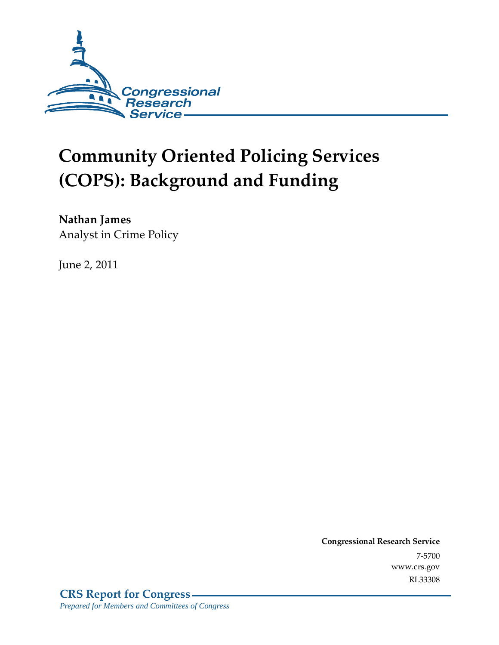

# **Community Oriented Policing Services (COPS): Background and Funding**

**Nathan James**  Analyst in Crime Policy

June 2, 2011

**Congressional Research Service** 7-5700 www.crs.gov RL33308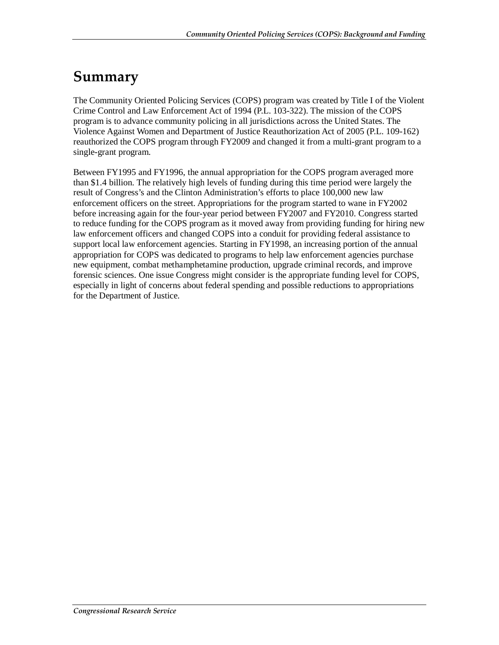### **Summary**

The Community Oriented Policing Services (COPS) program was created by Title I of the Violent Crime Control and Law Enforcement Act of 1994 (P.L. 103-322). The mission of the COPS program is to advance community policing in all jurisdictions across the United States. The Violence Against Women and Department of Justice Reauthorization Act of 2005 (P.L. 109-162) reauthorized the COPS program through FY2009 and changed it from a multi-grant program to a single-grant program.

Between FY1995 and FY1996, the annual appropriation for the COPS program averaged more than \$1.4 billion. The relatively high levels of funding during this time period were largely the result of Congress's and the Clinton Administration's efforts to place 100,000 new law enforcement officers on the street. Appropriations for the program started to wane in FY2002 before increasing again for the four-year period between FY2007 and FY2010. Congress started to reduce funding for the COPS program as it moved away from providing funding for hiring new law enforcement officers and changed COPS into a conduit for providing federal assistance to support local law enforcement agencies. Starting in FY1998, an increasing portion of the annual appropriation for COPS was dedicated to programs to help law enforcement agencies purchase new equipment, combat methamphetamine production, upgrade criminal records, and improve forensic sciences. One issue Congress might consider is the appropriate funding level for COPS, especially in light of concerns about federal spending and possible reductions to appropriations for the Department of Justice.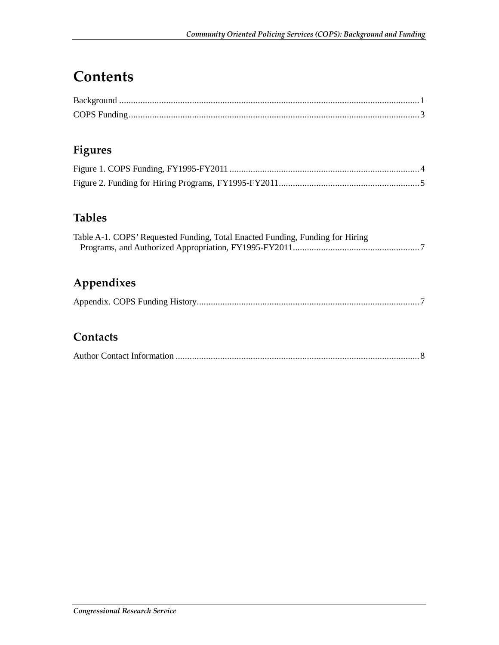### **Contents**

#### **Figures**

#### **Tables**

| Table A-1. COPS' Requested Funding, Total Enacted Funding, Funding for Hiring |  |
|-------------------------------------------------------------------------------|--|
|                                                                               |  |

### **Appendixes**

|--|--|--|--|--|--|--|--|

#### **Contacts**

|--|--|--|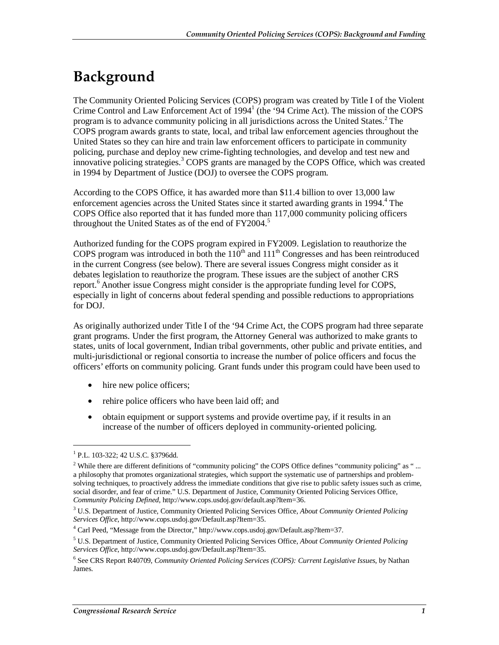## **Background**

The Community Oriented Policing Services (COPS) program was created by Title I of the Violent Crime Control and Law Enforcement Act of 1994<sup>1</sup> (the '94 Crime Act). The mission of the COPS program is to advance community policing in all jurisdictions across the United States.<sup>2</sup> The COPS program awards grants to state, local, and tribal law enforcement agencies throughout the United States so they can hire and train law enforcement officers to participate in community policing, purchase and deploy new crime-fighting technologies, and develop and test new and innovative policing strategies.<sup>3</sup> COPS grants are managed by the COPS Office, which was created in 1994 by Department of Justice (DOJ) to oversee the COPS program.

According to the COPS Office, it has awarded more than \$11.4 billion to over 13,000 law enforcement agencies across the United States since it started awarding grants in 1994.<sup>4</sup> The COPS Office also reported that it has funded more than 117,000 community policing officers throughout the United States as of the end of  $FY2004$ .<sup>5</sup>

Authorized funding for the COPS program expired in FY2009. Legislation to reauthorize the COPS program was introduced in both the  $110<sup>th</sup>$  and  $111<sup>th</sup>$  Congresses and has been reintroduced in the current Congress (see below). There are several issues Congress might consider as it debates legislation to reauthorize the program. These issues are the subject of another CRS report.<sup>6</sup> Another issue Congress might consider is the appropriate funding level for COPS, especially in light of concerns about federal spending and possible reductions to appropriations for DOJ.

As originally authorized under Title I of the '94 Crime Act, the COPS program had three separate grant programs. Under the first program, the Attorney General was authorized to make grants to states, units of local government, Indian tribal governments, other public and private entities, and multi-jurisdictional or regional consortia to increase the number of police officers and focus the officers' efforts on community policing. Grant funds under this program could have been used to

- hire new police officers;
- rehire police officers who have been laid off; and
- obtain equipment or support systems and provide overtime pay, if it results in an increase of the number of officers deployed in community-oriented policing.

<sup>1</sup> P.L. 103-322; 42 U.S.C. §3796dd.

<sup>&</sup>lt;sup>2</sup> While there are different definitions of "community policing" the COPS Office defines "community policing" as "... a philosophy that promotes organizational strategies, which support the systematic use of partnerships and problemsolving techniques, to proactively address the immediate conditions that give rise to public safety issues such as crime, social disorder, and fear of crime." U.S. Department of Justice, Community Oriented Policing Services Office, *Community Policing Defined*, http://www.cops.usdoj.gov/default.asp?Item=36.

<sup>3</sup> U.S. Department of Justice, Community Oriented Policing Services Office, *About Community Oriented Policing Services Office*, http://www.cops.usdoj.gov/Default.asp?Item=35. 4

 $4$  Carl Peed, "Message from the Director," http://www.cops.usdoj.gov/Default.asp?Item=37.

<sup>5</sup> U.S. Department of Justice, Community Oriented Policing Services Office, *About Community Oriented Policing Services Office*, http://www.cops.usdoj.gov/Default.asp?Item=35.

<sup>6</sup> See CRS Report R40709, *Community Oriented Policing Services (COPS): Current Legislative Issues*, by Nathan James.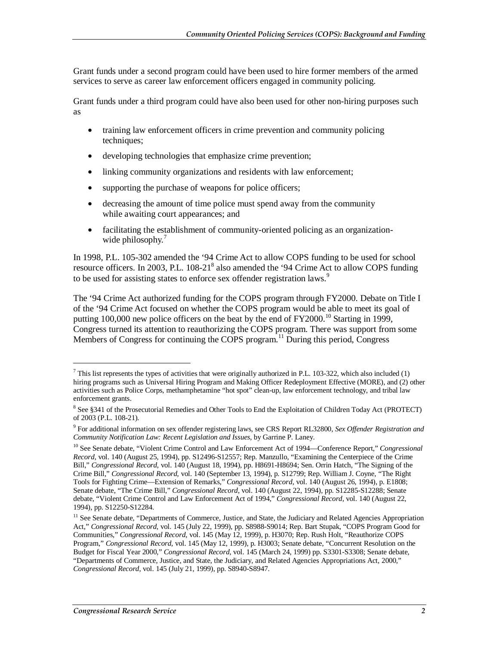Grant funds under a second program could have been used to hire former members of the armed services to serve as career law enforcement officers engaged in community policing.

Grant funds under a third program could have also been used for other non-hiring purposes such as

- training law enforcement officers in crime prevention and community policing techniques;
- developing technologies that emphasize crime prevention;
- linking community organizations and residents with law enforcement;
- supporting the purchase of weapons for police officers;
- decreasing the amount of time police must spend away from the community while awaiting court appearances; and
- facilitating the establishment of community-oriented policing as an organizationwide philosophy.<sup>7</sup>

In 1998, P.L. 105-302 amended the '94 Crime Act to allow COPS funding to be used for school resource officers. In 2003, P.L. 108-21<sup>8</sup> also amended the '94 Crime Act to allow COPS funding to be used for assisting states to enforce sex offender registration laws.<sup>9</sup>

The '94 Crime Act authorized funding for the COPS program through FY2000. Debate on Title I of the '94 Crime Act focused on whether the COPS program would be able to meet its goal of putting 100,000 new police officers on the beat by the end of  $FY2000$ .<sup>10</sup> Starting in 1999, Congress turned its attention to reauthorizing the COPS program. There was support from some Members of Congress for continuing the COPS program.<sup>11</sup> During this period, Congress

 $^7$  This list represents the types of activities that were originally authorized in P.L. 103-322, which also included (1) hiring programs such as Universal Hiring Program and Making Officer Redeployment Effective (MORE), and (2) other activities such as Police Corps, methamphetamine "hot spot" clean-up, law enforcement technology, and tribal law enforcement grants.

<sup>&</sup>lt;sup>8</sup> See §341 of the Prosecutorial Remedies and Other Tools to End the Exploitation of Children Today Act (PROTECT) of 2003 (P.L. 108-21).

<sup>9</sup> For additional information on sex offender registering laws, see CRS Report RL32800, *Sex Offender Registration and Community Notification Law: Recent Legislation and Issues*, by Garrine P. Laney.

<sup>10</sup> See Senate debate, "Violent Crime Control and Law Enforcement Act of 1994—Conference Report," *Congressional Record*, vol. 140 (August 25, 1994), pp. S12496-S12557; Rep. Manzullo, "Examining the Centerpiece of the Crime Bill," *Congressional Record*, vol. 140 (August 18, 1994), pp. H8691-H8694; Sen. Orrin Hatch, "The Signing of the Crime Bill," *Congressional Record*, vol. 140 (September 13, 1994), p. S12799; Rep. William J. Coyne, "The Right Tools for Fighting Crime—Extension of Remarks," *Congressional Record*, vol. 140 (August 26, 1994), p. E1808; Senate debate, "The Crime Bill," *Congressional Record*, vol. 140 (August 22, 1994), pp. S12285-S12288; Senate debate, "Violent Crime Control and Law Enforcement Act of 1994," *Congressional Record*, vol. 140 (August 22, 1994), pp. S12250-S12284.

<sup>&</sup>lt;sup>11</sup> See Senate debate, "Departments of Commerce, Justice, and State, the Judiciary and Related Agencies Appropriation Act," *Congressional Record*, vol. 145 (July 22, 1999), pp. S8988-S9014; Rep. Bart Stupak, "COPS Program Good for Communities," *Congressional Record*, vol. 145 (May 12, 1999), p. H3070; Rep. Rush Holt, "Reauthorize COPS Program," *Congressional Record*, vol. 145 (May 12, 1999), p. H3003; Senate debate, "Concurrent Resolution on the Budget for Fiscal Year 2000," *Congressional Record*, vol. 145 (March 24, 1999) pp. S3301-S3308; Senate debate, "Departments of Commerce, Justice, and State, the Judiciary, and Related Agencies Appropriations Act, 2000," *Congressional Record*, vol. 145 (July 21, 1999), pp. S8940-S8947.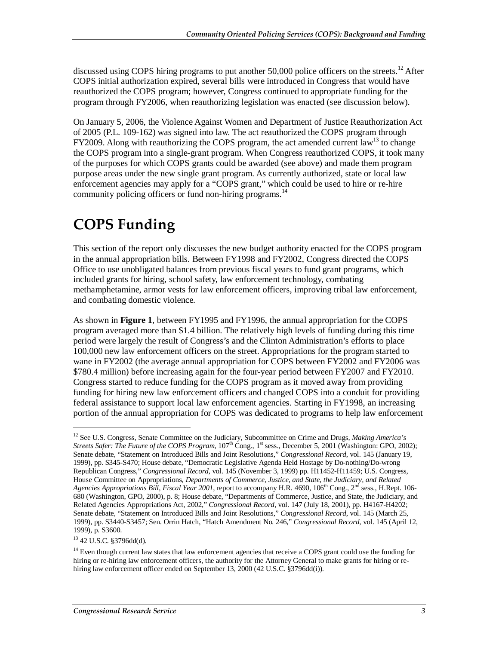discussed using COPS hiring programs to put another  $50,000$  police officers on the streets.<sup>12</sup> After COPS initial authorization expired, several bills were introduced in Congress that would have reauthorized the COPS program; however, Congress continued to appropriate funding for the program through FY2006, when reauthorizing legislation was enacted (see discussion below).

On January 5, 2006, the Violence Against Women and Department of Justice Reauthorization Act of 2005 (P.L. 109-162) was signed into law. The act reauthorized the COPS program through FY2009. Along with reauthorizing the COPS program, the act amended current law<sup>13</sup> to change the COPS program into a single-grant program. When Congress reauthorized COPS, it took many of the purposes for which COPS grants could be awarded (see above) and made them program purpose areas under the new single grant program. As currently authorized, state or local law enforcement agencies may apply for a "COPS grant," which could be used to hire or re-hire community policing officers or fund non-hiring programs.<sup>14</sup>

## **COPS Funding**

This section of the report only discusses the new budget authority enacted for the COPS program in the annual appropriation bills. Between FY1998 and FY2002, Congress directed the COPS Office to use unobligated balances from previous fiscal years to fund grant programs, which included grants for hiring, school safety, law enforcement technology, combating methamphetamine, armor vests for law enforcement officers, improving tribal law enforcement, and combating domestic violence.

As shown in **Figure 1**, between FY1995 and FY1996, the annual appropriation for the COPS program averaged more than \$1.4 billion. The relatively high levels of funding during this time period were largely the result of Congress's and the Clinton Administration's efforts to place 100,000 new law enforcement officers on the street. Appropriations for the program started to wane in FY2002 (the average annual appropriation for COPS between FY2002 and FY2006 was \$780.4 million) before increasing again for the four-year period between FY2007 and FY2010. Congress started to reduce funding for the COPS program as it moved away from providing funding for hiring new law enforcement officers and changed COPS into a conduit for providing federal assistance to support local law enforcement agencies. Starting in FY1998, an increasing portion of the annual appropriation for COPS was dedicated to programs to help law enforcement

<sup>13</sup> 42 U.S.C. §3796dd(d).

<sup>12</sup> See U.S. Congress, Senate Committee on the Judiciary, Subcommittee on Crime and Drugs, *Making America's Streets Safer: The Future of the COPS Program*,  $107<sup>th</sup>$  Cong., 1<sup>st</sup> sess., December 5, 2001 (Washington: GPO, 2002); Senate debate, "Statement on Introduced Bills and Joint Resolutions," *Congressional Record*, vol. 145 (January 19, 1999), pp. S345-S470; House debate, "Democratic Legislative Agenda Held Hostage by Do-nothing/Do-wrong Republican Congress," *Congressional Record*, vol. 145 (November 3, 1999) pp. H11452-H11459; U.S. Congress, House Committee on Appropriations, *Departments of Commerce, Justice, and State, the Judiciary, and Related Agencies Appropriations Bill, Fiscal Year 2001*, report to accompany H.R. 4690, 106th Cong., 2nd sess., H.Rept. 106- 680 (Washington, GPO, 2000), p. 8; House debate, "Departments of Commerce, Justice, and State, the Judiciary, and Related Agencies Appropriations Act, 2002," *Congressional Record*, vol. 147 (July 18, 2001), pp. H4167-H4202; Senate debate, "Statement on Introduced Bills and Joint Resolutions," *Congressional Record*, vol. 145 (March 25, 1999), pp. S3440-S3457; Sen. Orrin Hatch, "Hatch Amendment No. 246," *Congressional Record*, vol. 145 (April 12, 1999), p. S3600.

<sup>&</sup>lt;sup>14</sup> Even though current law states that law enforcement agencies that receive a COPS grant could use the funding for hiring or re-hiring law enforcement officers, the authority for the Attorney General to make grants for hiring or rehiring law enforcement officer ended on September 13, 2000 (42 U.S.C. §3796dd(i)).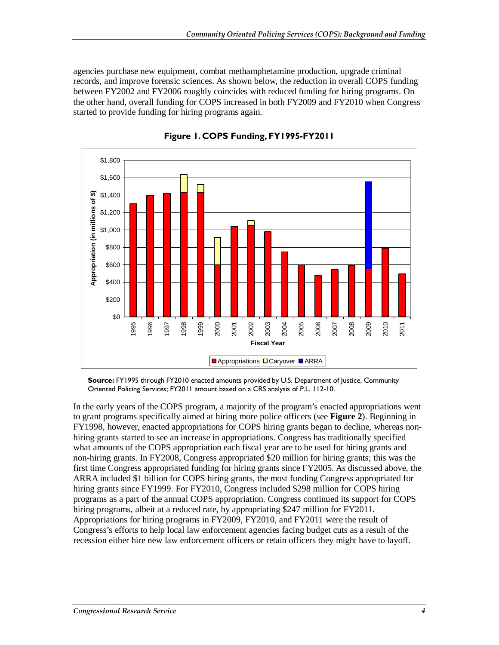agencies purchase new equipment, combat methamphetamine production, upgrade criminal records, and improve forensic sciences. As shown below, the reduction in overall COPS funding between FY2002 and FY2006 roughly coincides with reduced funding for hiring programs. On the other hand, overall funding for COPS increased in both FY2009 and FY2010 when Congress started to provide funding for hiring programs again.



**Figure 1. COPS Funding, FY1995-FY2011** 

**Source:** FY1995 through FY2010 enacted amounts provided by U.S. Department of Justice, Community Oriented Policing Services; FY2011 amount based on a CRS analysis of P.L. 112-10.

In the early years of the COPS program, a majority of the program's enacted appropriations went to grant programs specifically aimed at hiring more police officers (see **Figure 2**). Beginning in FY1998, however, enacted appropriations for COPS hiring grants began to decline, whereas nonhiring grants started to see an increase in appropriations. Congress has traditionally specified what amounts of the COPS appropriation each fiscal year are to be used for hiring grants and non-hiring grants. In FY2008, Congress appropriated \$20 million for hiring grants; this was the first time Congress appropriated funding for hiring grants since FY2005. As discussed above, the ARRA included \$1 billion for COPS hiring grants, the most funding Congress appropriated for hiring grants since FY1999. For FY2010, Congress included \$298 million for COPS hiring programs as a part of the annual COPS appropriation. Congress continued its support for COPS hiring programs, albeit at a reduced rate, by appropriating \$247 million for FY2011. Appropriations for hiring programs in FY2009, FY2010, and FY2011 were the result of Congress's efforts to help local law enforcement agencies facing budget cuts as a result of the recession either hire new law enforcement officers or retain officers they might have to layoff.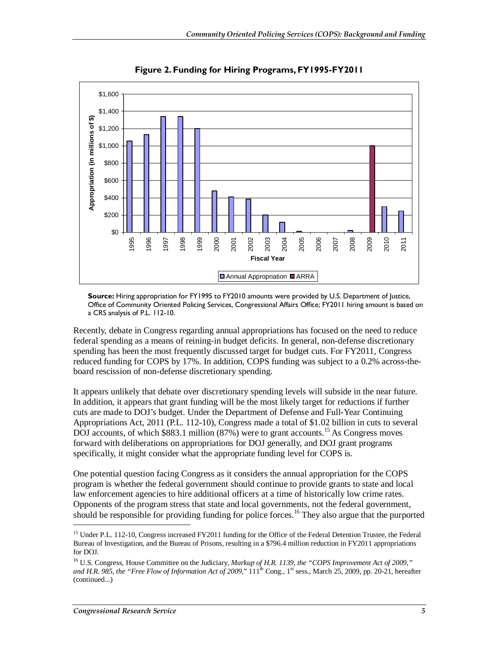

**Figure 2. Funding for Hiring Programs, FY1995-FY2011** 

**Source:** Hiring appropriation for FY1995 to FY2010 amounts were provided by U.S. Department of Justice, Office of Community Oriented Policing Services, Congressional Affairs Office; FY2011 hiring amount is based on a CRS analysis of P.L. 112-10.

Recently, debate in Congress regarding annual appropriations has focused on the need to reduce federal spending as a means of reining-in budget deficits. In general, non-defense discretionary spending has been the most frequently discussed target for budget cuts. For FY2011, Congress reduced funding for COPS by 17%. In addition, COPS funding was subject to a 0.2% across-theboard rescission of non-defense discretionary spending.

It appears unlikely that debate over discretionary spending levels will subside in the near future. In addition, it appears that grant funding will be the most likely target for reductions if further cuts are made to DOJ's budget. Under the Department of Defense and Full-Year Continuing Appropriations Act, 2011 (P.L. 112-10), Congress made a total of \$1.02 billion in cuts to several DOJ accounts, of which \$883.1 million (87%) were to grant accounts.<sup>15</sup> As Congress moves forward with deliberations on appropriations for DOJ generally, and DOJ grant programs specifically, it might consider what the appropriate funding level for COPS is.

One potential question facing Congress as it considers the annual appropriation for the COPS program is whether the federal government should continue to provide grants to state and local law enforcement agencies to hire additional officers at a time of historically low crime rates. Opponents of the program stress that state and local governments, not the federal government, should be responsible for providing funding for police forces.<sup>16</sup> They also argue that the purported

<sup>&</sup>lt;sup>15</sup> Under P.L. 112-10, Congress increased FY2011 funding for the Office of the Federal Detention Trustee, the Federal Bureau of Investigation, and the Bureau of Prisons, resulting in a \$796.4 million reduction in FY2011 appropriations for DOJ.

<sup>&</sup>lt;sup>16</sup> U.S. Congress, House Committee on the Judiciary, *Markup of H.R. 1139, the "COPS Improvement Act of 2009," and H.R. 985, the "Free Flow of Information Act of 2009,*"  $111^{th}$  Cong., 1<sup>st</sup> sess., March 25, 2009, pp. 20-21, hereafter (continued...)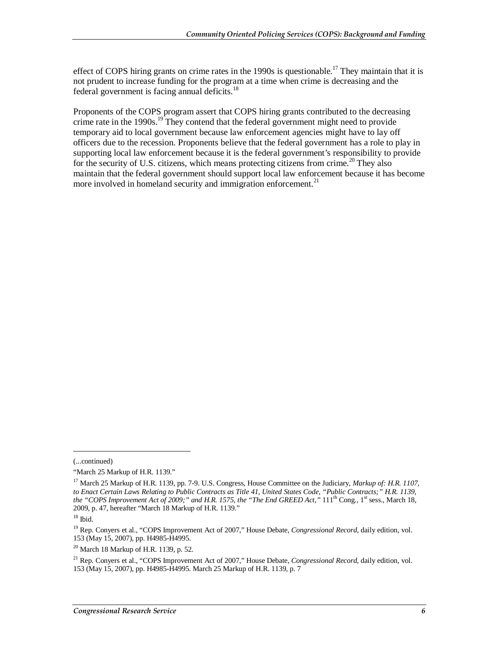effect of COPS hiring grants on crime rates in the 1990s is questionable.<sup>17</sup> They maintain that it is not prudent to increase funding for the program at a time when crime is decreasing and the federal government is facing annual deficits.18

Proponents of the COPS program assert that COPS hiring grants contributed to the decreasing crime rate in the 1990s.<sup>19</sup> They contend that the federal government might need to provide temporary aid to local government because law enforcement agencies might have to lay off officers due to the recession. Proponents believe that the federal government has a role to play in supporting local law enforcement because it is the federal government's responsibility to provide for the security of U.S. citizens, which means protecting citizens from crime.<sup>20</sup> They also maintain that the federal government should support local law enforcement because it has become more involved in homeland security and immigration enforcement. $^{21}$ 

<sup>(...</sup>continued)

<sup>&</sup>quot;March 25 Markup of H.R. 1139."

<sup>17</sup> March 25 Markup of H.R. 1139, pp. 7-9. U.S. Congress, House Committee on the Judiciary, *Markup of: H.R. 1107, to Enact Certain Laws Relating to Public Contracts as Title 41, United States Code, "Public Contracts;" H.R. 1139, the "COPS Improvement Act of 2009;" and H.R. 1575, the "The End GREED Act,"* 111<sup>th</sup> Cong., 1<sup>st</sup> sess., March 18, 2009, p. 47, hereafter "March 18 Markup of H.R. 1139."

 $18$  Ibid.

<sup>19</sup> Rep. Conyers et al., "COPS Improvement Act of 2007," House Debate, *Congressional Record*, daily edition, vol. 153 (May 15, 2007), pp. H4985-H4995.

 $^{20}$  March 18 Markup of H.R. 1139, p. 52.

<sup>21</sup> Rep. Conyers et al., "COPS Improvement Act of 2007," House Debate, *Congressional Record*, daily edition, vol. 153 (May 15, 2007), pp. H4985-H4995. March 25 Markup of H.R. 1139, p. 7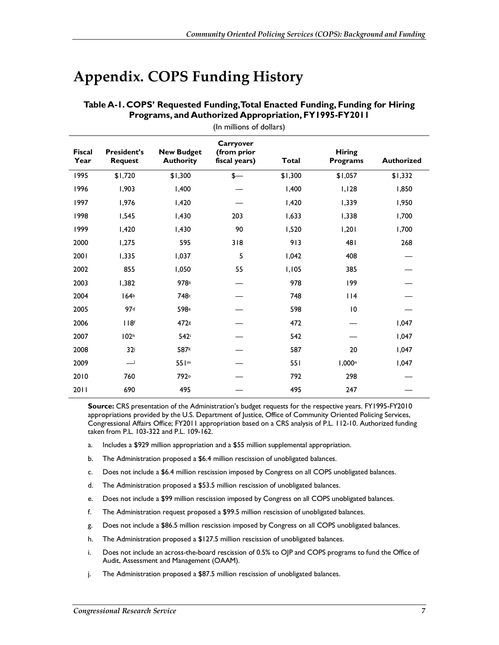### **Appendix. COPS Funding History**

| (In millions of dollars) |                                      |                                       |                                           |         |                                  |                   |
|--------------------------|--------------------------------------|---------------------------------------|-------------------------------------------|---------|----------------------------------|-------------------|
| <b>Fiscal</b><br>Year    | <b>President's</b><br><b>Request</b> | <b>New Budget</b><br><b>Authority</b> | Carryover<br>(from prior<br>fiscal years) | Total   | <b>Hiring</b><br><b>Programs</b> | <b>Authorized</b> |
| 1995                     | \$1,720                              | \$1,300                               | $\frac{1}{2}$                             | \$1,300 | \$1,057                          | \$1,332           |
| 1996                     | 1,903                                | 1,400                                 |                                           | 1,400   | 1,128                            | 1,850             |
| 1997                     | 1,976                                | 1,420                                 |                                           | I,420   | 1,339                            | 1,950             |
| 1998                     | 1,545                                | I,430                                 | 203                                       | 1,633   | 1,338                            | 1,700             |
| 1999                     | 1,420                                | 1,430                                 | 90                                        | 1,520   | 1,201                            | 1,700             |
| 2000                     | 1,275                                | 595                                   | 318                                       | 913     | 481                              | 268               |
| 2001                     | 1,335                                | 1,037                                 | 5                                         | 1,042   | 408                              |                   |
| 2002                     | 855                                  | 1,050                                 | 55                                        | 1,105   | 385                              |                   |
| 2003                     | 1,382                                | 978a                                  |                                           | 978     | 199                              |                   |
| 2004                     | 164 <sup>b</sup>                     | 748 <sup>c</sup>                      |                                           | 748     | 114                              |                   |
| 2005                     | 97d                                  | 598 <sup>e</sup>                      |                                           | 598     | 10                               |                   |
| 2006                     | 118 <sup>f</sup>                     | 472s                                  |                                           | 472     |                                  | 1,047             |
| 2007                     | 102 <sup>h</sup>                     | 542i                                  |                                           | 542     |                                  | 1,047             |
| 2008                     | 32i                                  | 587k                                  |                                           | 587     | 20                               | 1,047             |
| 2009                     | 一                                    | 551 <sup>m</sup>                      |                                           | 551     | 1,000 <sup>n</sup>               | 1,047             |
| 2010                     | 760                                  | 792°                                  |                                           | 792     | 298                              |                   |
| 2011                     | 690                                  | 495                                   |                                           | 495     | 247                              |                   |

#### **Table A-1. COPS' Requested Funding, Total Enacted Funding, Funding for Hiring Programs, and Authorized Appropriation, FY1995-FY2011**

**Source:** CRS presentation of the Administration's budget requests for the respective years. FY1995-FY2010 appropriations provided by the U.S. Department of Justice, Office of Community Oriented Policing Services, Congressional Affairs Office; FY2011 appropriation based on a CRS analysis of P.L. 112-10. Authorized funding taken from P.L. 103-322 and P.L. 109-162.

- a. Includes a \$929 million appropriation and a \$55 million supplemental appropriation.
- b. The Administration proposed a \$6.4 million rescission of unobligated balances.
- c. Does not include a \$6.4 million rescission imposed by Congress on all COPS unobligated balances.
- d. The Administration proposed a \$53.5 million rescission of unobligated balances.
- e. Does not include a \$99 million rescission imposed by Congress on all COPS unobligated balances.
- f. The Administration request proposed a \$99.5 million rescission of unobligated balances.
- g. Does not include a \$86.5 million rescission imposed by Congress on all COPS unobligated balances.
- h. The Administration proposed a \$127.5 million rescission of unobligated balances.
- i. Does not include an across-the-board rescission of 0.5% to OJP and COPS programs to fund the Office of Audit, Assessment and Management (OAAM).
- j. The Administration proposed a \$87.5 million rescission of unobligated balances.